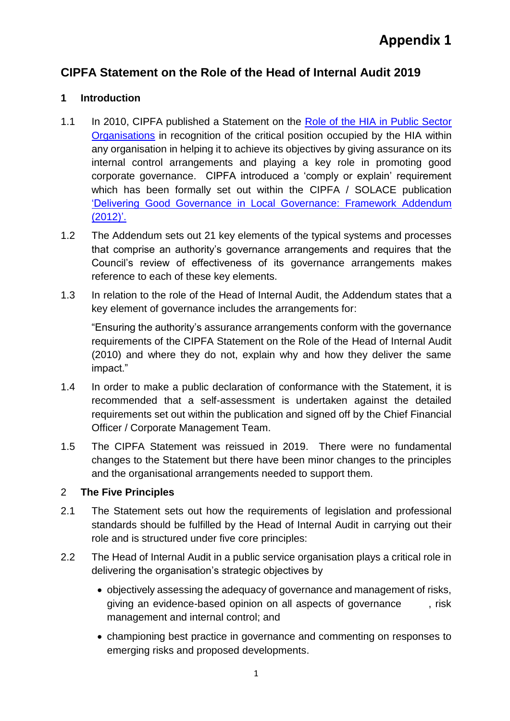# **CIPFA Statement on the Role of the Head of Internal Audit 2019**

# **1 Introduction**

- 1.1 In 2010, CIPFA published a Statement on the [Role of the HIA](http://www.cipfa.org/-/media/Files/Publications/Reports/Role_of_the_HIA_NOVEMBERv5.pdf) in Public Sector [Organisations](http://www.cipfa.org/-/media/Files/Publications/Reports/Role_of_the_HIA_NOVEMBERv5.pdf) in recognition of the critical position occupied by the HIA within any organisation in helping it to achieve its objectives by giving assurance on its internal control arrangements and playing a key role in promoting good corporate governance. CIPFA introduced a 'comply or explain' requirement which has been formally set out within the CIPFA / SOLACE publication 'Delivering Good Governance [in Local Governance: Framework](http://www.cipfa.org/-/media/Files/Publications/Reports/delivering%20good%20governance%20addendum.pdf) Addendum [\(2012\)'.](http://www.cipfa.org/-/media/Files/Publications/Reports/delivering%20good%20governance%20addendum.pdf)
- 1.2 The Addendum sets out 21 key elements of the typical systems and processes that comprise an authority's governance arrangements and requires that the Council's review of effectiveness of its governance arrangements makes reference to each of these key elements.
- 1.3 In relation to the role of the Head of Internal Audit, the Addendum states that a key element of governance includes the arrangements for:

"Ensuring the authority's assurance arrangements conform with the governance requirements of the CIPFA Statement on the Role of the Head of Internal Audit (2010) and where they do not, explain why and how they deliver the same impact."

- 1.4 In order to make a public declaration of conformance with the Statement, it is recommended that a self-assessment is undertaken against the detailed requirements set out within the publication and signed off by the Chief Financial Officer / Corporate Management Team.
- 1.5 The CIPFA Statement was reissued in 2019. There were no fundamental changes to the Statement but there have been minor changes to the principles and the organisational arrangements needed to support them.

# 2 **The Five Principles**

- 2.1 The Statement sets out how the requirements of legislation and professional standards should be fulfilled by the Head of Internal Audit in carrying out their role and is structured under five core principles:
- 2.2 The Head of Internal Audit in a public service organisation plays a critical role in delivering the organisation's strategic objectives by
	- objectively assessing the adequacy of governance and management of risks, giving an evidence-based opinion on all aspects of governance , risk management and internal control; and
	- championing best practice in governance and commenting on responses to emerging risks and proposed developments.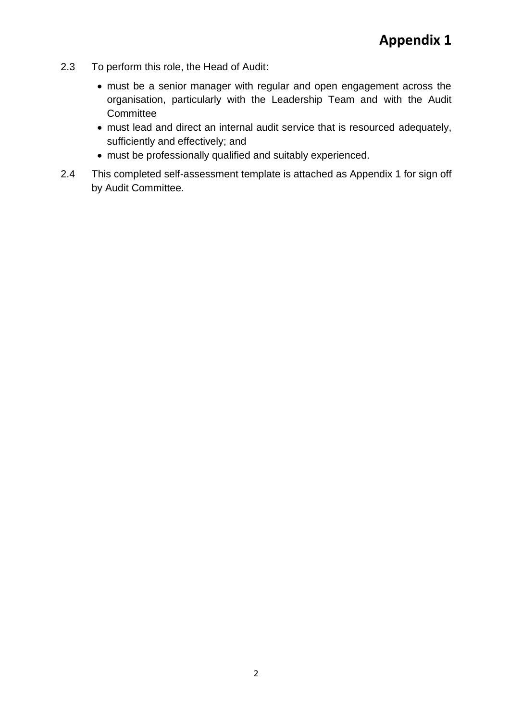- 2.3 To perform this role, the Head of Audit:
	- must be a senior manager with regular and open engagement across the organisation, particularly with the Leadership Team and with the Audit **Committee**
	- must lead and direct an internal audit service that is resourced adequately, sufficiently and effectively; and
	- must be professionally qualified and suitably experienced.
- 2.4 This completed self-assessment template is attached as Appendix 1 for sign off by Audit Committee.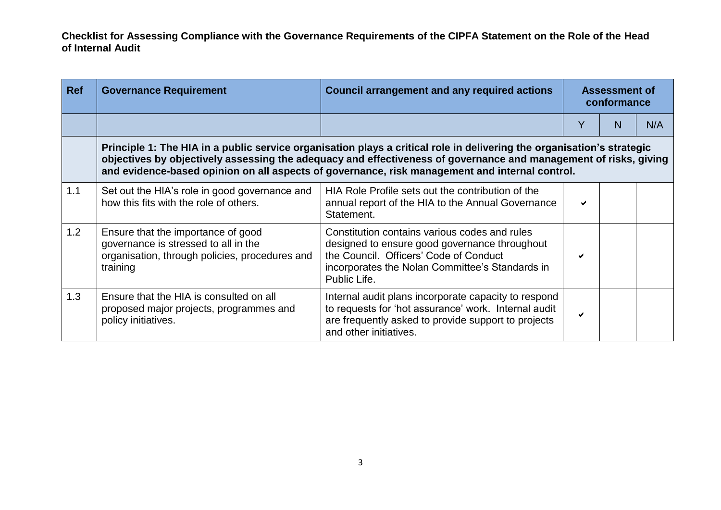| <b>Ref</b> | <b>Governance Requirement</b>                                                                                                                                                                                                                                                                                                                | <b>Council arrangement and any required actions</b>                                                                                                                                                         | <b>Assessment of</b><br>conformance |   |     |
|------------|----------------------------------------------------------------------------------------------------------------------------------------------------------------------------------------------------------------------------------------------------------------------------------------------------------------------------------------------|-------------------------------------------------------------------------------------------------------------------------------------------------------------------------------------------------------------|-------------------------------------|---|-----|
|            |                                                                                                                                                                                                                                                                                                                                              |                                                                                                                                                                                                             |                                     | N | N/A |
|            | Principle 1: The HIA in a public service organisation plays a critical role in delivering the organisation's strategic<br>objectives by objectively assessing the adequacy and effectiveness of governance and management of risks, giving<br>and evidence-based opinion on all aspects of governance, risk management and internal control. |                                                                                                                                                                                                             |                                     |   |     |
| 1.1        | Set out the HIA's role in good governance and<br>how this fits with the role of others.                                                                                                                                                                                                                                                      | HIA Role Profile sets out the contribution of the<br>annual report of the HIA to the Annual Governance<br>Statement.                                                                                        | ✔                                   |   |     |
| 1.2        | Ensure that the importance of good<br>governance is stressed to all in the<br>organisation, through policies, procedures and<br>training                                                                                                                                                                                                     | Constitution contains various codes and rules<br>designed to ensure good governance throughout<br>the Council. Officers' Code of Conduct<br>incorporates the Nolan Committee's Standards in<br>Public Life. |                                     |   |     |
| 1.3        | Ensure that the HIA is consulted on all<br>proposed major projects, programmes and<br>policy initiatives.                                                                                                                                                                                                                                    | Internal audit plans incorporate capacity to respond<br>to requests for 'hot assurance' work. Internal audit<br>are frequently asked to provide support to projects<br>and other initiatives.               | ✔                                   |   |     |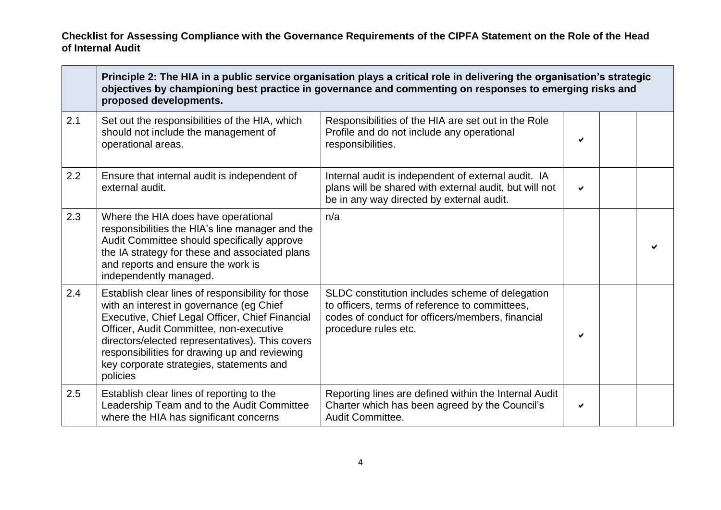|     | Principle 2: The HIA in a public service organisation plays a critical role in delivering the organisation's strategic<br>objectives by championing best practice in governance and commenting on responses to emerging risks and<br>proposed developments.                                                                                             |                                                                                                                                                                               |   |  |  |
|-----|---------------------------------------------------------------------------------------------------------------------------------------------------------------------------------------------------------------------------------------------------------------------------------------------------------------------------------------------------------|-------------------------------------------------------------------------------------------------------------------------------------------------------------------------------|---|--|--|
| 2.1 | Set out the responsibilities of the HIA, which<br>should not include the management of<br>operational areas.                                                                                                                                                                                                                                            | Responsibilities of the HIA are set out in the Role<br>Profile and do not include any operational<br>responsibilities.                                                        | ✔ |  |  |
| 2.2 | Ensure that internal audit is independent of<br>external audit.                                                                                                                                                                                                                                                                                         | Internal audit is independent of external audit. IA<br>plans will be shared with external audit, but will not<br>be in any way directed by external audit.                    | ✔ |  |  |
| 2.3 | Where the HIA does have operational<br>responsibilities the HIA's line manager and the<br>Audit Committee should specifically approve<br>the IA strategy for these and associated plans<br>and reports and ensure the work is<br>independently managed.                                                                                                 | n/a                                                                                                                                                                           |   |  |  |
| 2.4 | Establish clear lines of responsibility for those<br>with an interest in governance (eg Chief<br>Executive, Chief Legal Officer, Chief Financial<br>Officer, Audit Committee, non-executive<br>directors/elected representatives). This covers<br>responsibilities for drawing up and reviewing<br>key corporate strategies, statements and<br>policies | SLDC constitution includes scheme of delegation<br>to officers, terms of reference to committees,<br>codes of conduct for officers/members, financial<br>procedure rules etc. | ✔ |  |  |
| 2.5 | Establish clear lines of reporting to the<br>Leadership Team and to the Audit Committee<br>where the HIA has significant concerns                                                                                                                                                                                                                       | Reporting lines are defined within the Internal Audit<br>Charter which has been agreed by the Council's<br>Audit Committee.                                                   | ✔ |  |  |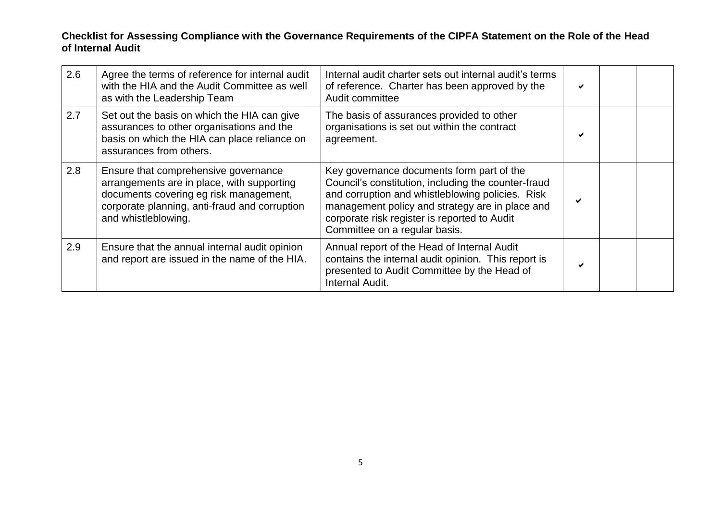| 2.6 | Agree the terms of reference for internal audit<br>with the HIA and the Audit Committee as well<br>as with the Leadership Team                                                                       | Internal audit charter sets out internal audit's terms<br>of reference. Charter has been approved by the<br>Audit committee                                                                                                                                                              | ✔ |  |
|-----|------------------------------------------------------------------------------------------------------------------------------------------------------------------------------------------------------|------------------------------------------------------------------------------------------------------------------------------------------------------------------------------------------------------------------------------------------------------------------------------------------|---|--|
| 2.7 | Set out the basis on which the HIA can give<br>assurances to other organisations and the<br>basis on which the HIA can place reliance on<br>assurances from others.                                  | The basis of assurances provided to other<br>organisations is set out within the contract<br>agreement.                                                                                                                                                                                  | ✔ |  |
| 2.8 | Ensure that comprehensive governance<br>arrangements are in place, with supporting<br>documents covering eg risk management,<br>corporate planning, anti-fraud and corruption<br>and whistleblowing. | Key governance documents form part of the<br>Council's constitution, including the counter-fraud<br>and corruption and whistleblowing policies. Risk<br>management policy and strategy are in place and<br>corporate risk register is reported to Audit<br>Committee on a regular basis. |   |  |
| 2.9 | Ensure that the annual internal audit opinion<br>and report are issued in the name of the HIA.                                                                                                       | Annual report of the Head of Internal Audit<br>contains the internal audit opinion. This report is<br>presented to Audit Committee by the Head of<br>Internal Audit.                                                                                                                     | ✔ |  |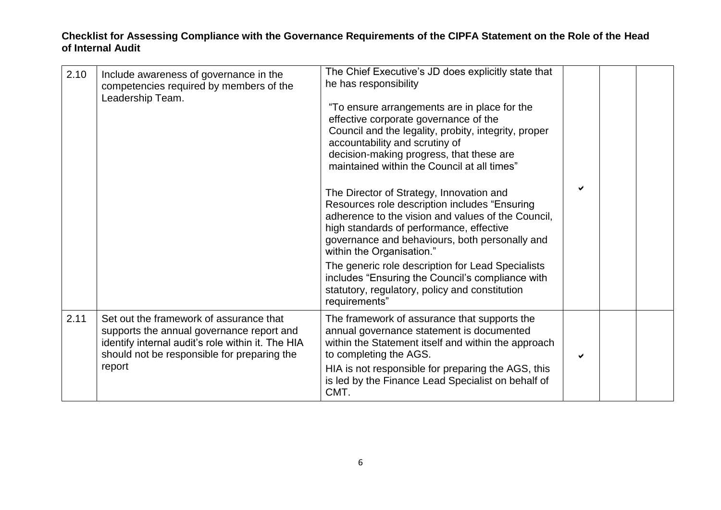| 2.10 | Include awareness of governance in the<br>competencies required by members of the<br>Leadership Team.                                                                                              | The Chief Executive's JD does explicitly state that<br>he has responsibility<br>"To ensure arrangements are in place for the<br>effective corporate governance of the<br>Council and the legality, probity, integrity, proper<br>accountability and scrutiny of<br>decision-making progress, that these are<br>maintained within the Council at all times"<br>The Director of Strategy, Innovation and<br>Resources role description includes "Ensuring<br>adherence to the vision and values of the Council,<br>high standards of performance, effective<br>governance and behaviours, both personally and<br>within the Organisation."<br>The generic role description for Lead Specialists<br>includes "Ensuring the Council's compliance with<br>statutory, regulatory, policy and constitution<br>requirements" | ✔ |  |
|------|----------------------------------------------------------------------------------------------------------------------------------------------------------------------------------------------------|----------------------------------------------------------------------------------------------------------------------------------------------------------------------------------------------------------------------------------------------------------------------------------------------------------------------------------------------------------------------------------------------------------------------------------------------------------------------------------------------------------------------------------------------------------------------------------------------------------------------------------------------------------------------------------------------------------------------------------------------------------------------------------------------------------------------|---|--|
| 2.11 | Set out the framework of assurance that<br>supports the annual governance report and<br>identify internal audit's role within it. The HIA<br>should not be responsible for preparing the<br>report | The framework of assurance that supports the<br>annual governance statement is documented<br>within the Statement itself and within the approach<br>to completing the AGS.<br>HIA is not responsible for preparing the AGS, this<br>is led by the Finance Lead Specialist on behalf of<br>CMT.                                                                                                                                                                                                                                                                                                                                                                                                                                                                                                                       | ✓ |  |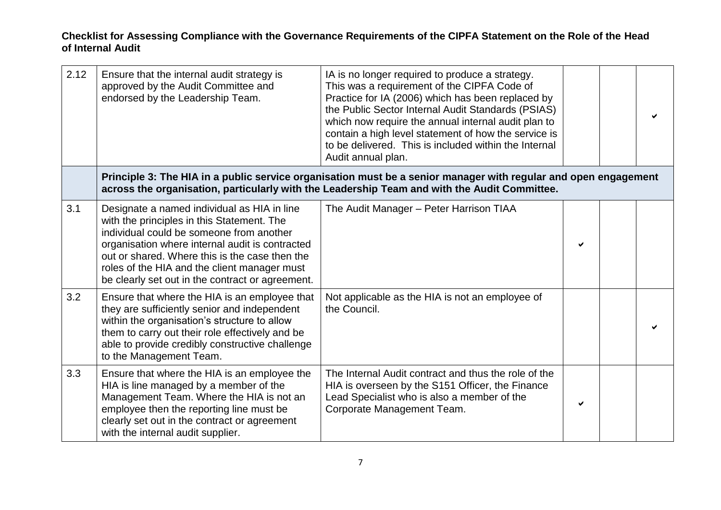| 2.12 | Ensure that the internal audit strategy is<br>approved by the Audit Committee and<br>endorsed by the Leadership Team.                                                                                                                                                                                                                          | IA is no longer required to produce a strategy.<br>This was a requirement of the CIPFA Code of<br>Practice for IA (2006) which has been replaced by<br>the Public Sector Internal Audit Standards (PSIAS)<br>which now require the annual internal audit plan to<br>contain a high level statement of how the service is<br>to be delivered. This is included within the Internal<br>Audit annual plan. |   |  |
|------|------------------------------------------------------------------------------------------------------------------------------------------------------------------------------------------------------------------------------------------------------------------------------------------------------------------------------------------------|---------------------------------------------------------------------------------------------------------------------------------------------------------------------------------------------------------------------------------------------------------------------------------------------------------------------------------------------------------------------------------------------------------|---|--|
|      |                                                                                                                                                                                                                                                                                                                                                | Principle 3: The HIA in a public service organisation must be a senior manager with regular and open engagement<br>across the organisation, particularly with the Leadership Team and with the Audit Committee.                                                                                                                                                                                         |   |  |
| 3.1  | Designate a named individual as HIA in line<br>with the principles in this Statement. The<br>individual could be someone from another<br>organisation where internal audit is contracted<br>out or shared. Where this is the case then the<br>roles of the HIA and the client manager must<br>be clearly set out in the contract or agreement. | The Audit Manager - Peter Harrison TIAA                                                                                                                                                                                                                                                                                                                                                                 |   |  |
| 3.2  | Ensure that where the HIA is an employee that<br>they are sufficiently senior and independent<br>within the organisation's structure to allow<br>them to carry out their role effectively and be<br>able to provide credibly constructive challenge<br>to the Management Team.                                                                 | Not applicable as the HIA is not an employee of<br>the Council.                                                                                                                                                                                                                                                                                                                                         |   |  |
| 3.3  | Ensure that where the HIA is an employee the<br>HIA is line managed by a member of the<br>Management Team. Where the HIA is not an<br>employee then the reporting line must be<br>clearly set out in the contract or agreement<br>with the internal audit supplier.                                                                            | The Internal Audit contract and thus the role of the<br>HIA is overseen by the S151 Officer, the Finance<br>Lead Specialist who is also a member of the<br>Corporate Management Team.                                                                                                                                                                                                                   | ✔ |  |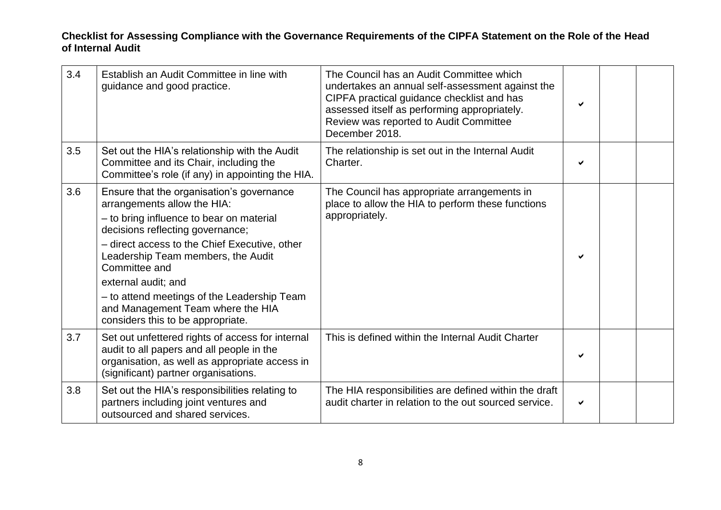| 3.4 | Establish an Audit Committee in line with<br>guidance and good practice.                                                                                                                                                                                                                                                                                                                                         | The Council has an Audit Committee which<br>undertakes an annual self-assessment against the<br>CIPFA practical guidance checklist and has<br>assessed itself as performing appropriately.<br>Review was reported to Audit Committee<br>December 2018. | ✔ |  |
|-----|------------------------------------------------------------------------------------------------------------------------------------------------------------------------------------------------------------------------------------------------------------------------------------------------------------------------------------------------------------------------------------------------------------------|--------------------------------------------------------------------------------------------------------------------------------------------------------------------------------------------------------------------------------------------------------|---|--|
| 3.5 | Set out the HIA's relationship with the Audit<br>Committee and its Chair, including the<br>Committee's role (if any) in appointing the HIA.                                                                                                                                                                                                                                                                      | The relationship is set out in the Internal Audit<br>Charter.                                                                                                                                                                                          | ✔ |  |
| 3.6 | Ensure that the organisation's governance<br>arrangements allow the HIA:<br>- to bring influence to bear on material<br>decisions reflecting governance;<br>- direct access to the Chief Executive, other<br>Leadership Team members, the Audit<br>Committee and<br>external audit; and<br>- to attend meetings of the Leadership Team<br>and Management Team where the HIA<br>considers this to be appropriate. | The Council has appropriate arrangements in<br>place to allow the HIA to perform these functions<br>appropriately.                                                                                                                                     | ✔ |  |
| 3.7 | Set out unfettered rights of access for internal<br>audit to all papers and all people in the<br>organisation, as well as appropriate access in<br>(significant) partner organisations.                                                                                                                                                                                                                          | This is defined within the Internal Audit Charter                                                                                                                                                                                                      | ✔ |  |
| 3.8 | Set out the HIA's responsibilities relating to<br>partners including joint ventures and<br>outsourced and shared services.                                                                                                                                                                                                                                                                                       | The HIA responsibilities are defined within the draft<br>audit charter in relation to the out sourced service.                                                                                                                                         | ✔ |  |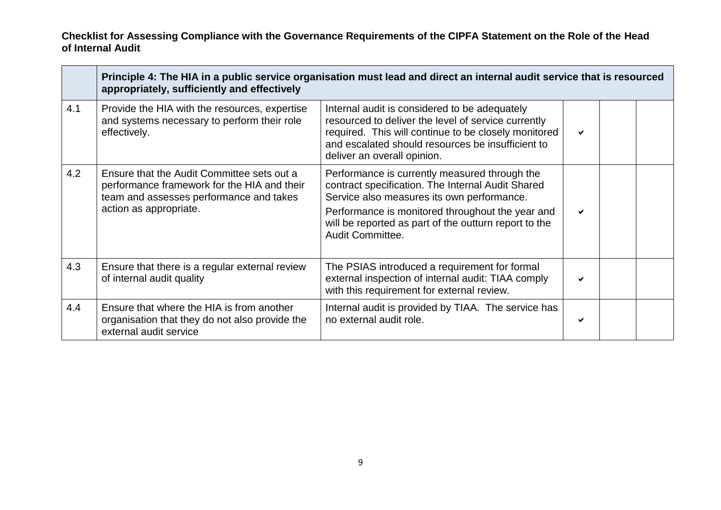|     | Principle 4: The HIA in a public service organisation must lead and direct an internal audit service that is resourced<br>appropriately, sufficiently and effectively |                                                                                                                                                                                                                                                                                   |   |  |  |
|-----|-----------------------------------------------------------------------------------------------------------------------------------------------------------------------|-----------------------------------------------------------------------------------------------------------------------------------------------------------------------------------------------------------------------------------------------------------------------------------|---|--|--|
| 4.1 | Provide the HIA with the resources, expertise<br>and systems necessary to perform their role<br>effectively.                                                          | Internal audit is considered to be adequately<br>resourced to deliver the level of service currently<br>required. This will continue to be closely monitored<br>and escalated should resources be insufficient to<br>deliver an overall opinion.                                  | ✔ |  |  |
| 4.2 | Ensure that the Audit Committee sets out a<br>performance framework for the HIA and their<br>team and assesses performance and takes<br>action as appropriate.        | Performance is currently measured through the<br>contract specification. The Internal Audit Shared<br>Service also measures its own performance.<br>Performance is monitored throughout the year and<br>will be reported as part of the outturn report to the<br>Audit Committee. | ✔ |  |  |
| 4.3 | Ensure that there is a regular external review<br>of internal audit quality                                                                                           | The PSIAS introduced a requirement for formal<br>external inspection of internal audit: TIAA comply<br>with this requirement for external review.                                                                                                                                 | ✔ |  |  |
| 4.4 | Ensure that where the HIA is from another<br>organisation that they do not also provide the<br>external audit service                                                 | Internal audit is provided by TIAA. The service has<br>no external audit role.                                                                                                                                                                                                    | ✔ |  |  |